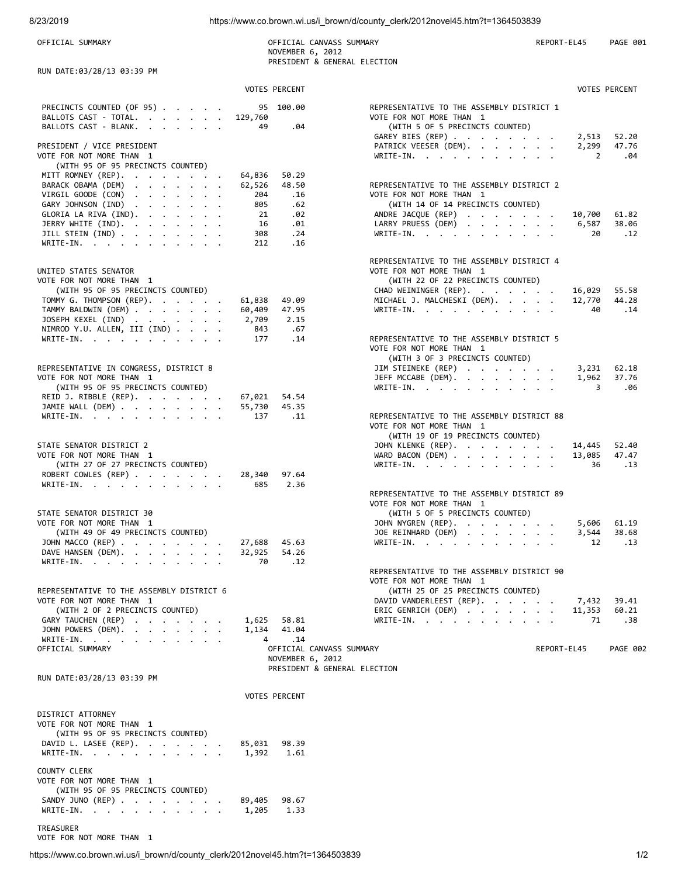OFFICIAL SUMMARY COFFICIAL CANVASS SUMMARY CORPORT-EL45 PAGE 001 NOVEMBER 6, 2012 PRESIDENT & GENERAL ELECTION

| RUN DATE:03/28/13 03:39 PM                                                                  |                 |                      |                                                                                                                              |                                  |                       |
|---------------------------------------------------------------------------------------------|-----------------|----------------------|------------------------------------------------------------------------------------------------------------------------------|----------------------------------|-----------------------|
|                                                                                             |                 | <b>VOTES PERCENT</b> |                                                                                                                              |                                  | <b>VOTES PERCENT</b>  |
| PRECINCTS COUNTED (OF 95)<br>BALLOTS CAST - TOTAL.<br>BALLOTS CAST - BLANK.                 | 129,760<br>-49  | 95 100.00<br>.04     | REPRESENTATIVE TO THE ASSEMBLY DISTRICT 1<br>VOTE FOR NOT MORE THAN 1<br>(WITH 5 OF 5 PRECINCTS COUNTED)<br>GAREY BIES (REP) |                                  | 52.20                 |
| PRESIDENT / VICE PRESIDENT<br>VOTE FOR NOT MORE THAN 1<br>(WITH 95 OF 95 PRECINCTS COUNTED) |                 |                      | PATRICK VEESER (DEM).<br>WRITE-IN.                                                                                           | 2,513<br>2,299<br>$\overline{2}$ | 47.76<br>.04          |
| MITT ROMNEY (REP).                                                                          | 64,836          | 50.29                |                                                                                                                              |                                  |                       |
| BARACK OBAMA (DEM)                                                                          | 62,526          | 48.50                | REPRESENTATIVE TO THE ASSEMBLY DISTRICT 2                                                                                    |                                  |                       |
| VIRGIL GOODE $(CON)$                                                                        | 204             | .16                  | VOTE FOR NOT MORE THAN 1                                                                                                     |                                  |                       |
| GARY JOHNSON (IND)                                                                          | 805             | .62                  | (WITH 14 OF 14 PRECINCTS COUNTED)                                                                                            |                                  |                       |
| GLORIA LA RIVA $(IND).$                                                                     | 21              | .02                  | ANDRE JACQUE (REP)                                                                                                           | 10,700                           | 61.82                 |
| JERRY WHITE (IND).<br>JILL STEIN $(IND)$                                                    | 16<br>308       | .01<br>.24           | LARRY PRUESS (DEM)<br>WRITE-IN.                                                                                              | 6,587<br>20                      | 38.06<br>.12          |
| WRITE-IN.                                                                                   | 212             | .16                  |                                                                                                                              |                                  |                       |
| UNITED STATES SENATOR<br>VOTE FOR NOT MORE THAN 1                                           |                 |                      | REPRESENTATIVE TO THE ASSEMBLY DISTRICT 4<br>VOTE FOR NOT MORE THAN 1<br>(WITH 22 OF 22 PRECINCTS COUNTED)                   |                                  |                       |
| (WITH 95 OF 95 PRECINCTS COUNTED)                                                           |                 |                      | CHAD WEININGER (REP).                                                                                                        | 16,029                           | 55.58                 |
| TOMMY G. THOMPSON (REP).                                                                    | 61,838          | 49.09                | MICHAEL J. MALCHESKI (DEM).                                                                                                  | 12,770                           | 44.28                 |
| TAMMY BALDWIN (DEM)<br>JOSEPH KEXEL (IND)                                                   | 60,409<br>2,709 | 47.95<br>2.15        | WRITE-IN.                                                                                                                    | 40                               | .14                   |
| NIMROD Y.U. ALLEN, III (IND)                                                                | 843             | .67                  |                                                                                                                              |                                  |                       |
| WRITE-IN.                                                                                   | 177             | .14                  | REPRESENTATIVE TO THE ASSEMBLY DISTRICT 5<br>VOTE FOR NOT MORE THAN 1                                                        |                                  |                       |
| REPRESENTATIVE IN CONGRESS, DISTRICT 8                                                      |                 |                      | (WITH 3 OF 3 PRECINCTS COUNTED)<br>JIM STEINEKE (REP)                                                                        | 3,231                            | 62.18                 |
| VOTE FOR NOT MORE THAN 1<br>(WITH 95 OF 95 PRECINCTS COUNTED)                               |                 |                      | JEFF MCCABE (DEM).<br>WRITE-IN.                                                                                              | 1,962<br>3                       | 37.76<br>.06          |
| REID J. RIBBLE $(REP)$ .                                                                    | 67,021          | 54.54                |                                                                                                                              |                                  |                       |
| JAMIE WALL (DEM)                                                                            | 55,730          | 45.35                |                                                                                                                              |                                  |                       |
| WRITE-IN.                                                                                   | 137             | .11                  | REPRESENTATIVE TO THE ASSEMBLY DISTRICT 88<br>VOTE FOR NOT MORE THAN 1<br>(WITH 19 OF 19 PRECINCTS COUNTED)                  |                                  |                       |
| STATE SENATOR DISTRICT 2<br>VOTE FOR NOT MORE THAN 1<br>(WITH 27 OF 27 PRECINCTS COUNTED)   |                 |                      | JOHN KLENKE (REP).<br>WARD BACON (DEM) $\cdots$ $\cdots$ $\cdots$<br>WRITE-IN.                                               | 14,445<br>13,085<br>36           | 52.40<br>47.47<br>.13 |
| ROBERT COWLES (REP)                                                                         | 28,340          | 97.64                |                                                                                                                              |                                  |                       |
| WRITE-IN.                                                                                   | 685             | 2.36                 | REPRESENTATIVE TO THE ASSEMBLY DISTRICT 89                                                                                   |                                  |                       |
| STATE SENATOR DISTRICT 30                                                                   |                 |                      | VOTE FOR NOT MORE THAN 1                                                                                                     |                                  |                       |
| VOTE FOR NOT MORE THAN 1                                                                    |                 |                      | (WITH 5 OF 5 PRECINCTS COUNTED)<br>JOHN NYGREN (REP).                                                                        | 5,606                            | 61.19                 |
| (WITH 49 OF 49 PRECINCTS COUNTED)                                                           |                 |                      | JOE REINHARD (DEM)                                                                                                           | 3,544                            | 38.68                 |
| JOHN MACCO (REP)                                                                            | 27,688          | 45.63                | WRITE-IN.                                                                                                                    | 12                               | .13                   |
| DAVE HANSEN (DEM).                                                                          | 32,925          | 54.26                |                                                                                                                              |                                  |                       |
| WRITE-IN.                                                                                   | 70              | $\cdot$ 12           |                                                                                                                              |                                  |                       |
| REPRESENTATIVE TO THE ASSEMBLY DISTRICT 6                                                   |                 |                      | REPRESENTATIVE TO THE ASSEMBLY DISTRICT 90<br>VOTE FOR NOT MORE THAN 1<br>(WITH 25 OF 25 PRECINCTS COUNTED)                  |                                  |                       |
| VOTE FOR NOT MORE THAN 1                                                                    |                 |                      | DAVID VANDERLEEST (REP).                                                                                                     | 7,432 39.41                      |                       |
| (WITH 2 OF 2 PRECINCTS COUNTED)                                                             |                 |                      | ERIC GENRICH (DEM)                                                                                                           | 11,353                           | 60.21                 |
| GARY TAUCHEN (REP)<br>JOHN POWERS (DEM).                                                    | 1,625 58.81     | 1,134 41.04          | WRITE-IN.                                                                                                                    | 71                               | .38                   |
| WRITE-IN.                                                                                   |                 | 4 .14                |                                                                                                                              |                                  |                       |
| OFFICIAL SUMMARY                                                                            |                 |                      | OFFICIAL CANVASS SUMMARY<br>REPORT-EL45<br>NOVEMBER 6, 2012                                                                  |                                  | <b>PAGE 002</b>       |
| RUN DATE:03/28/13 03:39 PM                                                                  |                 |                      | PRESIDENT & GENERAL ELECTION                                                                                                 |                                  |                       |
|                                                                                             |                 | <b>VOTES PERCENT</b> |                                                                                                                              |                                  |                       |
|                                                                                             |                 |                      |                                                                                                                              |                                  |                       |
| DISTRICT ATTORNEY<br>VOTE FOR NOT MORE THAN 1<br>(WITH 95 OF 95 PRECINCTS COUNTED)          |                 |                      |                                                                                                                              |                                  |                       |
| DAVID L. LASEE (REP).<br>WRITE-IN.                                                          | 1,392           | 85,031 98.39<br>1.61 |                                                                                                                              |                                  |                       |
| <b>COUNTY CLERK</b><br>VOTE FOR NOT MORE THAN 1<br>(WITH 95 OF 95 PRECINCTS COUNTED)        |                 |                      |                                                                                                                              |                                  |                       |
| SANDY JUNO (REP)                                                                            | 89,405          | 98.67                |                                                                                                                              |                                  |                       |
| WRITE-IN.                                                                                   | 1,205           | 1.33                 |                                                                                                                              |                                  |                       |

TREASURER VOTE FOR NOT MORE THAN 1

https://www.co.brown.wi.us/i\_brown/d/county\_clerk/2012novel45.htm?t=1364503839 1/2